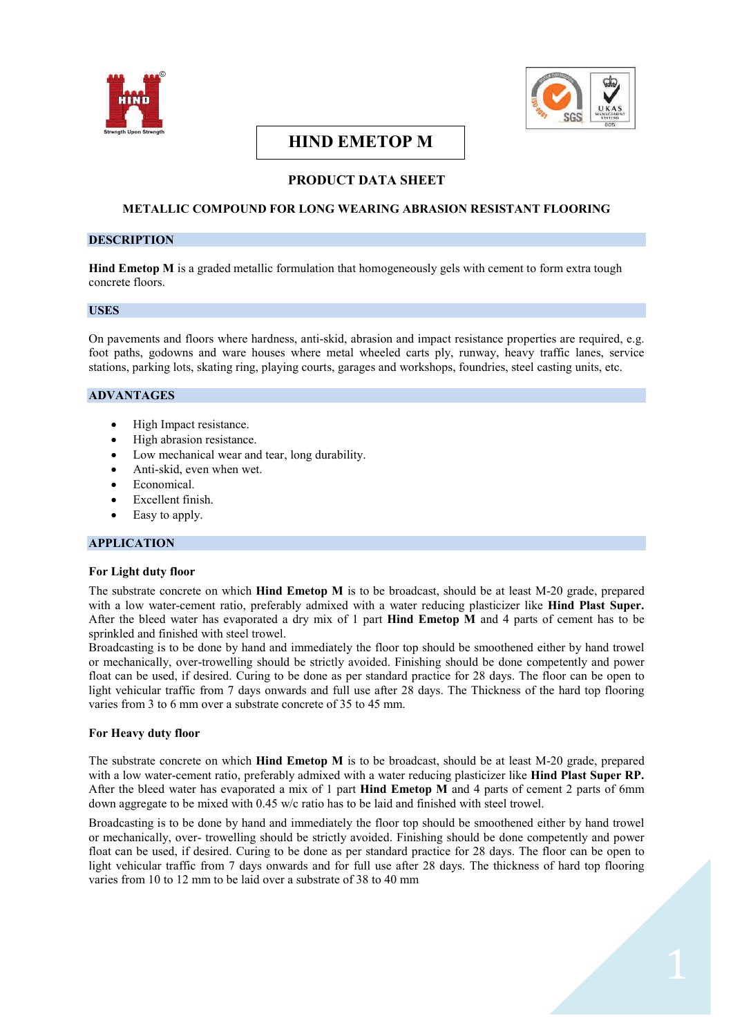



# **HIND EMETOP M**

# **PRODUCT DATA SHEET**

# **METALLIC COMPOUND FOR LONG WEARING ABRASION RESISTANT FLOORING**

## **DESCRIPTION**

**Hind Emetop M** is a graded metallic formulation that homogeneously gels with cement to form extra tough concrete floors.

#### **USES**

On pavements and floors where hardness, anti-skid, abrasion and impact resistance properties are required, e.g. foot paths, godowns and ware houses where metal wheeled carts ply, runway, heavy traffic lanes, service stations, parking lots, skating ring, playing courts, garages and workshops, foundries, steel casting units, etc.

#### **ADVANTAGES**

- High Impact resistance.
- · High abrasion resistance.
- · Low mechanical wear and tear, long durability.
- Anti-skid, even when wet.
- Economical.
- Excellent finish.
- Easy to apply.

## **APPLICATION**

#### **For Light duty floor**

The substrate concrete on which **Hind Emetop M** is to be broadcast, should be at least M-20 grade, prepared with a low water-cement ratio, preferably admixed with a water reducing plasticizer like **Hind Plast Super.** After the bleed water has evaporated a dry mix of 1 part **Hind Emetop M** and 4 parts of cement has to be sprinkled and finished with steel trowel.

Broadcasting is to be done by hand and immediately the floor top should be smoothened either by hand trowel or mechanically, over-trowelling should be strictly avoided. Finishing should be done competently and power float can be used, if desired. Curing to be done as per standard practice for 28 days. The floor can be open to light vehicular traffic from 7 days onwards and full use after 28 days. The Thickness of the hard top flooring varies from 3 to 6 mm over a substrate concrete of 35 to 45 mm.

## **For Heavy duty floor**

The substrate concrete on which **Hind Emetop M** is to be broadcast, should be at least M-20 grade, prepared with a low water-cement ratio, preferably admixed with a water reducing plasticizer like **Hind Plast Super RP.** After the bleed water has evaporated a mix of 1 part **Hind Emetop M** and 4 parts of cement 2 parts of 6mm down aggregate to be mixed with 0.45 w/c ratio has to be laid and finished with steel trowel.

Broadcasting is to be done by hand and immediately the floor top should be smoothened either by hand trowel or mechanically, over- trowelling should be strictly avoided. Finishing should be done competently and power float can be used, if desired. Curing to be done as per standard practice for 28 days. The floor can be open to light vehicular traffic from 7 days onwards and for full use after 28 days. The thickness of hard top flooring varies from 10 to 12 mm to be laid over a substrate of 38 to 40 mm